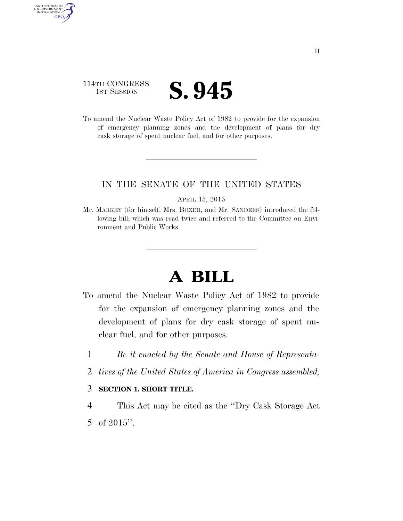## 114TH CONGRESS **IST SESSION S. 945**

AUTHENTICATED<br>U.S. GOVERNMENT<br>INFORMATION

**GPO** 

To amend the Nuclear Waste Policy Act of 1982 to provide for the expansion of emergency planning zones and the development of plans for dry cask storage of spent nuclear fuel, and for other purposes.

### IN THE SENATE OF THE UNITED STATES

#### APRIL 15, 2015

Mr. MARKEY (for himself, Mrs. BOXER, and Mr. SANDERS) introduced the following bill; which was read twice and referred to the Committee on Environment and Public Works

# **A BILL**

- To amend the Nuclear Waste Policy Act of 1982 to provide for the expansion of emergency planning zones and the development of plans for dry cask storage of spent nuclear fuel, and for other purposes.
	- 1 *Be it enacted by the Senate and House of Representa-*
	- 2 *tives of the United States of America in Congress assembled,*

### 3 **SECTION 1. SHORT TITLE.**

4 This Act may be cited as the ''Dry Cask Storage Act 5 of 2015''.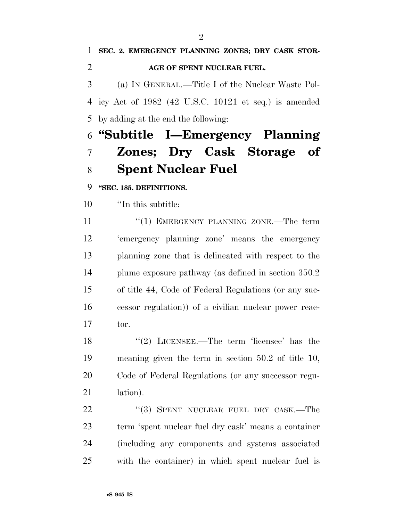**SEC. 2. EMERGENCY PLANNING ZONES; DRY CASK STOR- AGE OF SPENT NUCLEAR FUEL.**  (a) IN GENERAL.—Title I of the Nuclear Waste Pol- icy Act of 1982 (42 U.S.C. 10121 et seq.) is amended by adding at the end the following:

# **''Subtitle I—Emergency Planning Zones; Dry Cask Storage of Spent Nuclear Fuel**

**''SEC. 185. DEFINITIONS.** 

''In this subtitle:

11 "(1) EMERGENCY PLANNING ZONE.—The term 'emergency planning zone' means the emergency planning zone that is delineated with respect to the plume exposure pathway (as defined in section 350.2 of title 44, Code of Federal Regulations (or any suc- cessor regulation)) of a civilian nuclear power reac-tor.

 ''(2) LICENSEE.—The term 'licensee' has the meaning given the term in section 50.2 of title 10, Code of Federal Regulations (or any successor regu-21 lation).

22 "(3) SPENT NUCLEAR FUEL DRY CASK.—The term 'spent nuclear fuel dry cask' means a container (including any components and systems associated with the container) in which spent nuclear fuel is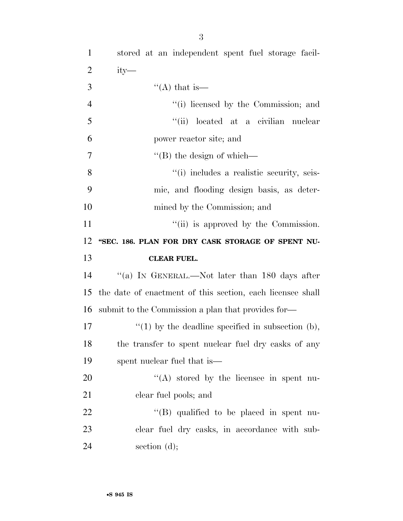| $\mathbf{1}$   | stored at an independent spent fuel storage facil-         |
|----------------|------------------------------------------------------------|
| $\overline{2}$ | $ity-$                                                     |
| 3              | "(A) that is—                                              |
| $\overline{4}$ | "(i) licensed by the Commission; and                       |
| 5              | "(ii) located at a civilian nuclear                        |
| 6              | power reactor site; and                                    |
| $\tau$         | $\lq\lq$ (B) the design of which—                          |
| 8              | "(i) includes a realistic security, seis-                  |
| 9              | mic, and flooding design basis, as deter-                  |
| 10             | mined by the Commission; and                               |
| 11             | "(ii) is approved by the Commission.                       |
| 12             | "SEC. 186. PLAN FOR DRY CASK STORAGE OF SPENT NU-          |
|                |                                                            |
| 13             | <b>CLEAR FUEL.</b>                                         |
| 14             | "(a) IN GENERAL.—Not later than 180 days after             |
| 15             | the date of enactment of this section, each licensee shall |
| 16             | submit to the Commission a plan that provides for-         |
| 17             | $\lq(1)$ by the deadline specified in subsection (b),      |
| 18             | the transfer to spent nuclear fuel dry casks of any        |
| 19             | spent nuclear fuel that is—                                |
| 20             | "(A) stored by the licensee in spent nu-                   |
| 21             | clear fuel pools; and                                      |
| 22             | $\lq\lq$ (B) qualified to be placed in spent nu-           |
| 23             | clear fuel dry casks, in accordance with sub-              |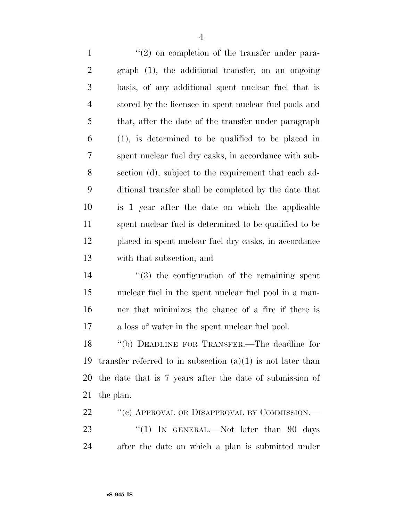$\frac{1}{2}$  ''(2) on completion of the transfer under para- graph (1), the additional transfer, on an ongoing basis, of any additional spent nuclear fuel that is stored by the licensee in spent nuclear fuel pools and that, after the date of the transfer under paragraph (1), is determined to be qualified to be placed in spent nuclear fuel dry casks, in accordance with sub- section (d), subject to the requirement that each ad- ditional transfer shall be completed by the date that is 1 year after the date on which the applicable spent nuclear fuel is determined to be qualified to be placed in spent nuclear fuel dry casks, in accordance with that subsection; and  $\frac{1}{3}$  the configuration of the remaining spent nuclear fuel in the spent nuclear fuel pool in a man- ner that minimizes the chance of a fire if there is a loss of water in the spent nuclear fuel pool.

 ''(b) DEADLINE FOR TRANSFER.—The deadline for 19 transfer referred to in subsection  $(a)(1)$  is not later than the date that is 7 years after the date of submission of the plan.

22 "(c) APPROVAL OR DISAPPROVAL BY COMMISSION.— 23 "(1) IN GENERAL.—Not later than 90 days after the date on which a plan is submitted under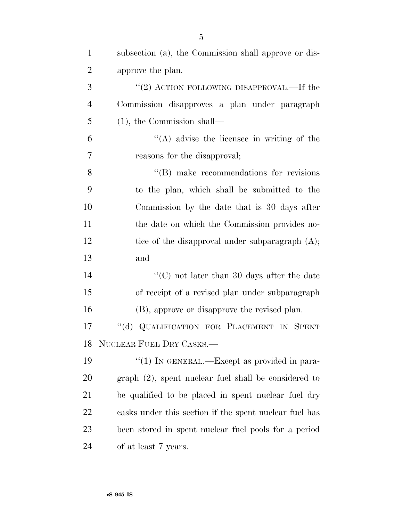| $\mathbf{1}$   | subsection (a), the Commission shall approve or dis-   |
|----------------|--------------------------------------------------------|
| $\overline{2}$ | approve the plan.                                      |
| 3              | "(2) ACTION FOLLOWING DISAPPROVAL.—If the              |
| $\overline{4}$ | Commission disapproves a plan under paragraph          |
| 5              | $(1)$ , the Commission shall—                          |
| 6              | $\lq\lq$ advise the licensee in writing of the         |
| 7              | reasons for the disapproval;                           |
| 8              | $\lq\lq$ (B) make recommendations for revisions        |
| 9              | to the plan, which shall be submitted to the           |
| 10             | Commission by the date that is 30 days after           |
| 11             | the date on which the Commission provides no-          |
| 12             | tice of the disapproval under subparagraph $(A)$ ;     |
| 13             | and                                                    |
| 14             | " $(C)$ not later than 30 days after the date          |
| 15             | of receipt of a revised plan under subparagraph        |
| 16             | (B), approve or disapprove the revised plan.           |
| 17             | $\lq\lq (d)$<br>QUALIFICATION FOR PLACEMENT IN SPENT   |
| 18             | NUCLEAR FUEL DRY CASKS.                                |
| 19             | "(1) IN GENERAL.—Except as provided in para-           |
| 20             | graph (2), spent nuclear fuel shall be considered to   |
| 21             | be qualified to be placed in spent nuclear fuel dry    |
| 22             | casks under this section if the spent nuclear fuel has |
| 23             | been stored in spent nuclear fuel pools for a period   |
| 24             | of at least 7 years.                                   |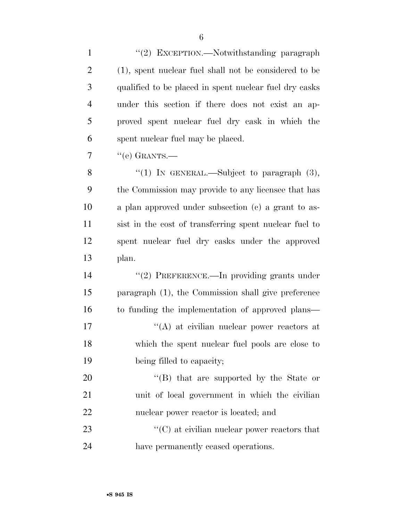1 "(2) EXCEPTION.—Notwithstanding paragraph (1), spent nuclear fuel shall not be considered to be qualified to be placed in spent nuclear fuel dry casks under this section if there does not exist an ap- proved spent nuclear fuel dry cask in which the spent nuclear fuel may be placed.  $7 \quad$  "(e) GRANTS.— 8 "(1) IN GENERAL.—Subject to paragraph (3), the Commission may provide to any licensee that has a plan approved under subsection (c) a grant to as- sist in the cost of transferring spent nuclear fuel to spent nuclear fuel dry casks under the approved plan. 14 "(2) PREFERENCE.—In providing grants under paragraph (1), the Commission shall give preference to funding the implementation of approved plans—  $\langle (A)$  at civilian nuclear power reactors at which the spent nuclear fuel pools are close to being filled to capacity;

20 ''(B) that are supported by the State or unit of local government in which the civilian nuclear power reactor is located; and

23  $\cdot$  (C) at civilian nuclear power reactors that have permanently ceased operations.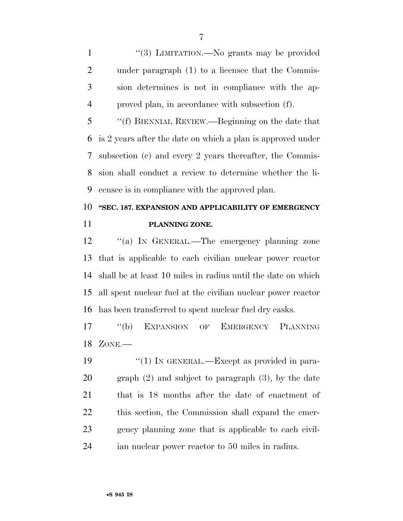1 "(3) LIMITATION.—No grants may be provided under paragraph (1) to a licensee that the Commis- sion determines is not in compliance with the ap-proved plan, in accordance with subsection (f).

 ''(f) BIENNIAL REVIEW.—Beginning on the date that is 2 years after the date on which a plan is approved under subsection (c) and every 2 years thereafter, the Commis- sion shall conduct a review to determine whether the li-censee is in compliance with the approved plan.

# **''SEC. 187. EXPANSION AND APPLICABILITY OF EMERGENCY PLANNING ZONE.**

12 "(a) IN GENERAL.—The emergency planning zone that is applicable to each civilian nuclear power reactor shall be at least 10 miles in radius until the date on which all spent nuclear fuel at the civilian nuclear power reactor has been transferred to spent nuclear fuel dry casks.

 ''(b) EXPANSION OF EMERGENCY PLANNING ZONE.—

 $\frac{1}{2}$  (1) In GENERAL.—Except as provided in para- graph (2) and subject to paragraph (3), by the date that is 18 months after the date of enactment of this section, the Commission shall expand the emer- gency planning zone that is applicable to each civil-ian nuclear power reactor to 50 miles in radius.